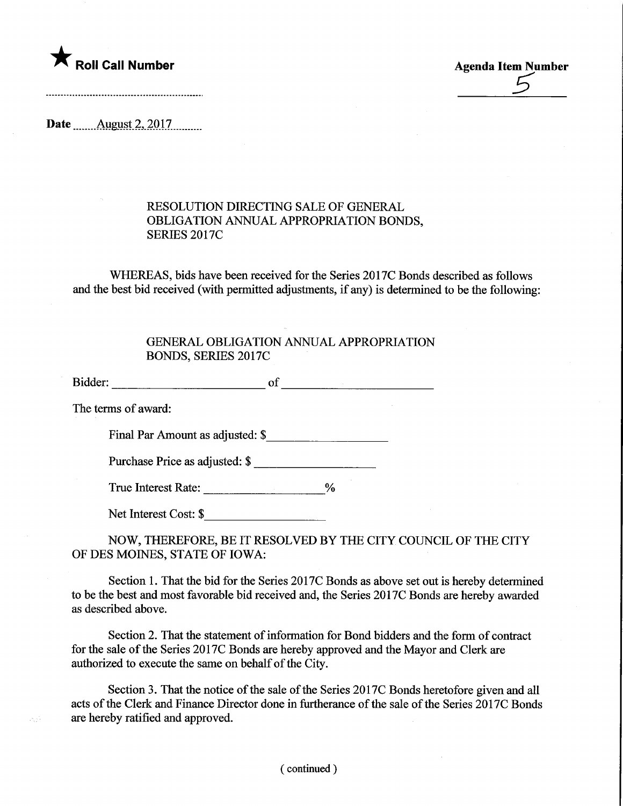

 $\overline{5}$ 

Date ........Aygyst.2,.2017.

## RESOLUTION DIRECTING SALE OF GENERAL OBLIGATION ANNUAL APPROPRIATION BONDS, SERIES 2017C

WHEREAS, bids have been received for the Series 2017C Bonds described as follows and the best bid received (with permitted adjustments, if any) is determined to be the following:

## GENERAL OBLIGATION ANNUAL APPROPRIATION BONDS, SERIES 2017C

Bidder: of of the state of the state of the state of the state of the state of the state of the state of the state of the state of the state of the state of the state of the state of the state of the state of the state of

The terms of award:

送兵

Final Par Amount as adjusted: \$

Purchase Price as adjusted: \$

True Interest Rate: \_\_\_\_\_\_\_\_\_\_\_\_\_\_\_\_\_\_\_\_\_\_%

Net Interest Cost: \$

NOW, THEREFORE, BE IT RESOLVED BY THE CITY COUNCIL OF THE CITY OF DES MOINES, STATE OF IOWA:

Section 1. That the bid for the Series 2017C Bonds as above set out is hereby determined to be the best and most favorable bid received and, the Series 2017C Bonds are hereby awarded as described above.

Section 2. That the statement of information for Bond bidders and the form of contract for the sale of the Series 2017C Bonds are hereby approved and the Mayor and Clerk are authorized to execute the same on behalf of the City.

Section 3. That the notice of the sale of the Series 2017C Bonds heretofore given and all acts of the Clerk and Finance Director done in furtherance of the sale of the Series 2017C Bonds are hereby ratified and approved.